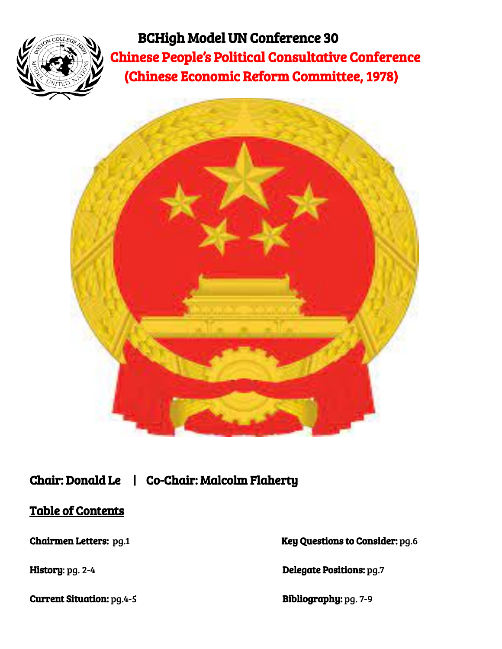

BCHigh Model UN Conference 30 Chinese People's Political Consultative Conference (Chinese Economic Reform Committee, 1978)



# Chair: Donald Le | Co-Chair: Malcolm Flaherty

## Table of Contents

Current Situation: pg.4-5 Bibliography: pg. 7-9

Chairmen Letters: pg.1 Key Questions to Consider: pg.6

History: pg. 2-4 Delegate Positions: pg.7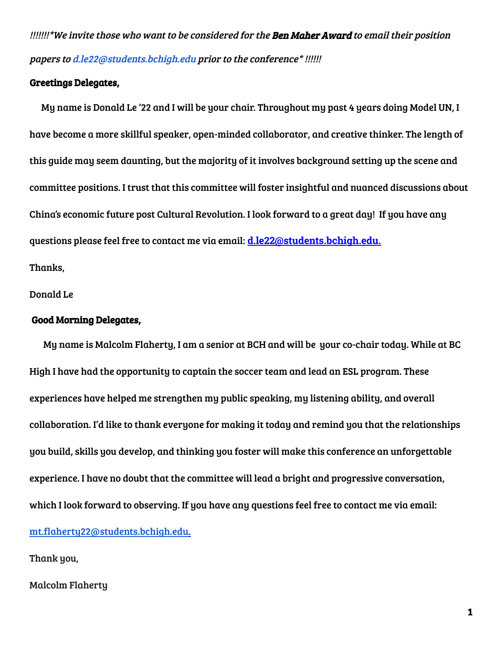!!!!!!!\*We invite those who want to be considered for the **Ben Maher Award** to email their position papers to [d.le22@students.bchigh.edu](mailto:d.le22@students.bchigh.edu) prior to the conference\* !!!!!!

#### Greetings Delegates,

My name is Donald Le '22 and I will be your chair. Throughout my past 4 years doing Model UN, I have become a more skillful speaker, open-minded collaborator, and creative thinker. The length of this guide may seem daunting, but the majority of it involves background setting up the scene and committee positions. I trust that this committee will foster insightful and nuanced discussions about China's economic future post Cultural Revolution. I look forward to a great day! If you have any questions please feel free to contact me via email: **d.le22@students.bchigh.edu.** Thanks,

Donald Le

#### Good Morning Delegates,

My name is Malcolm Flaherty, I am a senior at BCH and will be your co-chair today. While at BC High I have had the opportunity to captain the soccer team and lead an ESL program. These experiences have helped me strengthen my public speaking, my listening ability, and overall collaboration. I'd like to thank everyone for making it today and remind you that the relationships you build, skills you develop, and thinking you foster will make this conference an unforgettable experience. I have no doubt that the committee will lead a bright and progressive conversation, which I look forward to observing. If you have any questions feel free to contact me via email: [mt.flaherty22@students.bchigh.edu.](mailto:mt.flaherty22@students.bchigh.edu)

Thank you,

Malcolm Flaherty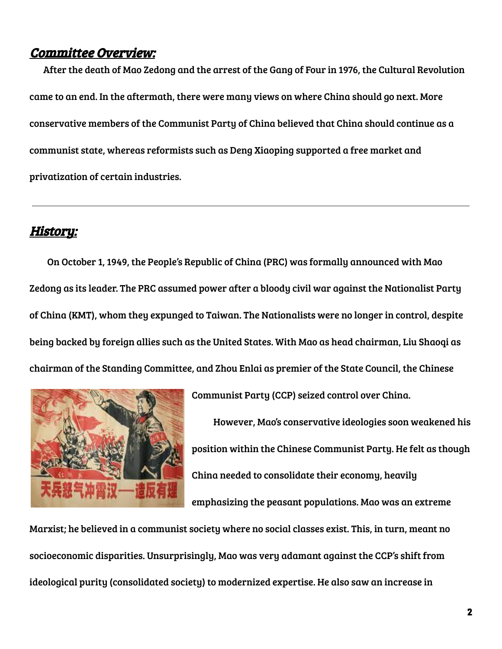#### Committee Overview:

After the death of Mao Zedong and the arrest of the Gang of Four in 1976, the Cultural Revolution came to an end. In the aftermath, there were many views on where China should go next. More conservative members of the Communist Party of China believed that China should continue as a communist state, whereas reformists such as Deng Xiaoping supported a free market and privatization of certain industries.

#### History:

On October 1, 1949, the People's Republic of China (PRC) was formally announced with Mao Zedong as its leader. The PRC assumed power after a bloody civil war against the Nationalist Party of China (KMT), whom they expunged to Taiwan. The Nationalists were no longer in control, despite being backed by foreign allies such as the United States. With Mao as head chairman, Liu Shaoqi as chairman of the Standing Committee, and Zhou Enlai as premier of the State Council, the Chinese



Communist Party (CCP) seized control over China.

However, Mao's conservative ideologies soon weakened his position within the Chinese Communist Party. He felt as though China needed to consolidate their economy, heavily emphasizing the peasant populations. Mao was an extreme

Marxist; he believed in a communist society where no social classes exist. This, in turn, meant no socioeconomic disparities. Unsurprisingly, Mao was very adamant against the CCP's shift from ideological purity (consolidated society) to modernized expertise. He also saw an increase in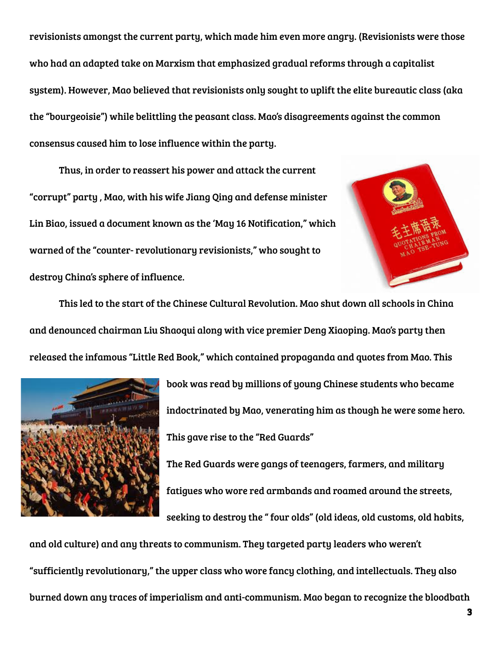revisionists amongst the current party, which made him even more angry. (Revisionists were those who had an adapted take on Marxism that emphasized gradual reforms through a capitalist system). However, Mao believed that revisionists only sought to uplift the elite bureautic class (aka the "bourgeoisie") while belittling the peasant class. Mao's disagreements against the common consensus caused him to lose influence within the party.

Thus, in order to reassert his power and attack the current "corrupt" party , Mao, with his wife Jiang Qing and defense minister Lin Biao, issued a document known as the 'May 16 Notification," which warned of the "counter- revolutionary revisionists," who sought to destroy China's sphere of influence.



This led to the start of the Chinese Cultural Revolution. Mao shut down all schools in China and denounced chairman Liu Shaoqui along with vice premier Deng Xiaoping. Mao's party then released the infamous "Little Red Book," which contained propaganda and quotes from Mao. This



book was read by millions of young Chinese students who became indoctrinated by Mao, venerating him as though he were some hero. This gave rise to the "Red Guards" The Red Guards were gangs of teenagers, farmers, and military fatigues who wore red armbands and roamed around the streets,

seeking to destroy the " four olds" (old ideas, old customs, old habits,

and old culture) and any threats to communism. They targeted party leaders who weren't "sufficiently revolutionary," the upper class who wore fancy clothing, and intellectuals. They also burned down any traces of imperialism and anti-communism. Mao began to recognize the bloodbath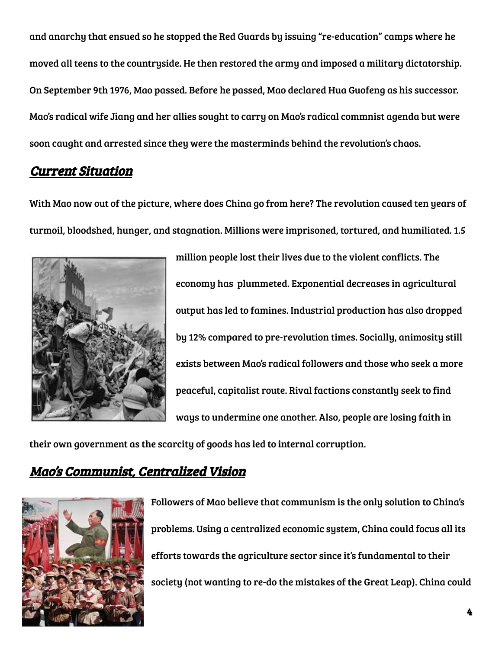and anarchy that ensued so he stopped the Red Guards by issuing "re-education" camps where he moved all teens to the countryside. He then restored the army and imposed a military dictatorship. On September 9th 1976, Mao passed. Before he passed, Mao declared Hua Guofeng as his successor. Mao's radical wife Jiang and her allies sought to carry on Mao's radical commnist agenda but were soon caught and arrested since they were the masterminds behind the revolution's chaos.

### Current Situation

With Mao now out of the picture, where does China go from here? The revolution caused ten years of turmoil, bloodshed, hunger, and stagnation. Millions were imprisoned, tortured, and humiliated. 1.5



million people lost their lives due to the violent conflicts. The economy has plummeted. Exponential decreases in agricultural output has led to famines. Industrial production has also dropped by 12% compared to pre-revolution times. Socially, animosity still exists between Mao's radical followers and those who seek a more peaceful, capitalist route. Rival factions constantly seek to find ways to undermine one another. Also, people are losing faith in

their own government as the scarcity of goods has led to internal corruption.

# Mao's Communist, Centralized Vision



Followers of Mao believe that communism is the only solution to China's problems. Using a centralized economic system, China could focus all its efforts towards the agriculture sector since it's fundamental to their society (not wanting to re-do the mistakes of the Great Leap). China could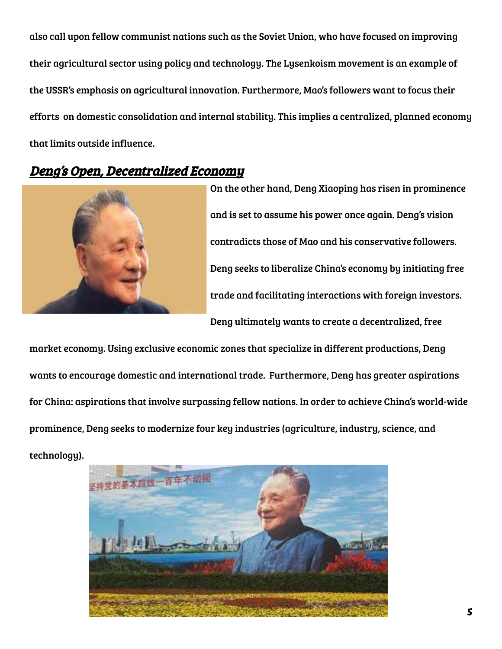also call upon fellow communist nations such as the Soviet Union, who have focused on improving their agricultural sector using policy and technology. The Lysenkoism movement is an example of the USSR's emphasis on agricultural innovation. Furthermore, Mao's followers want to focus their efforts on domestic consolidation and internal stability. This implies a centralized, planned economy that limits outside influence.

### Deng's Open, Decentralized Economy



On the other hand, Deng Xiaoping has risen in prominence and is set to assume his power once again. Deng's vision contradicts those of Mao and his conservative followers. Deng seeks to liberalize China's economy by initiating free trade and facilitating interactions with foreign investors. Deng ultimately wants to create a decentralized, free

market economy. Using exclusive economic zones that specialize in different productions, Deng wants to encourage domestic and international trade. Furthermore, Deng has greater aspirations for China: aspirations that involve surpassing fellow nations. In order to achieve China's world-wide prominence, Deng seeks to modernize four key industries (agriculture, industry, science, and technology).

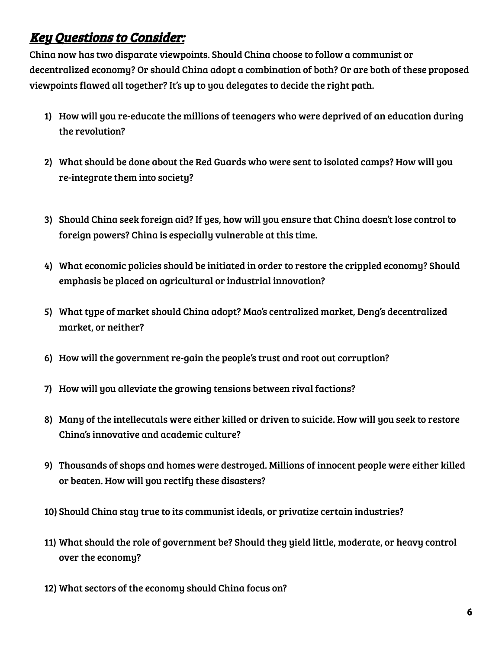# Key Questions to Consider:

China now has two disparate viewpoints. Should China choose to follow a communist or decentralized economy? Or should China adopt a combination of both? Or are both of these proposed viewpoints flawed all together? It's up to you delegates to decide the right path.

- 1) How will you re-educate the millions of teenagers who were deprived of an education during the revolution?
- 2) What should be done about the Red Guards who were sent to isolated camps? How will you re-integrate them into society?
- 3) Should China seek foreign aid? If yes, how will you ensure that China doesn't lose control to foreign powers? China is especially vulnerable at this time.
- 4) What economic policies should be initiated in order to restore the crippled economy? Should emphasis be placed on agricultural or industrial innovation?
- 5) What type of market should China adopt? Mao's centralized market, Deng's decentralized market, or neither?
- 6) How will the government re-gain the people's trust and root out corruption?
- 7) How will you alleviate the growing tensions between rival factions?
- 8) Many of the intellecutals were either killed or driven to suicide. How will you seek to restore China's innovative and academic culture?
- 9) Thousands of shops and homes were destroyed. Millions of innocent people were either killed or beaten. How will you rectify these disasters?
- 10) Should China stay true to its communist ideals, or privatize certain industries?
- 11) What should the role of government be? Should they yield little, moderate, or heavy control over the economy?
- 12) What sectors of the economy should China focus on?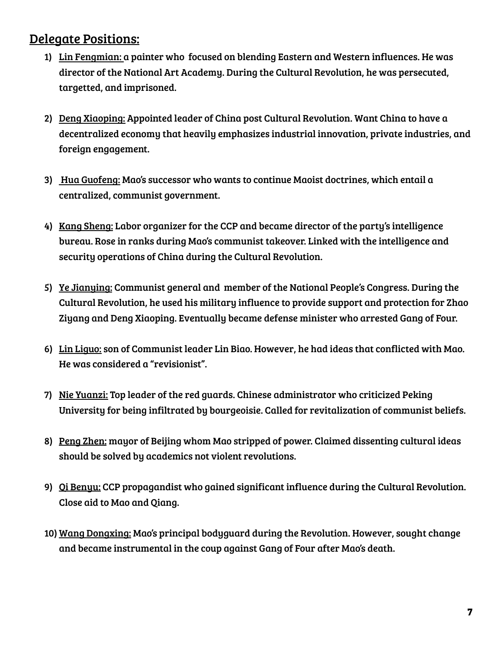# Delegate Positions:

- 1) Lin Fengmian: a painter who focused on blending Eastern and Western influences. He was director of the National Art Academy. During the Cultural Revolution, he was persecuted, targetted, and imprisoned.
- 2) Deng Xiaoping: Appointed leader of China post Cultural Revolution. Want China to have a decentralized economy that heavily emphasizes industrial innovation, private industries, and foreign engagement.
- 3) Hua Guofeng: Mao's successor who wants to continue Maoist doctrines, which entail a centralized, communist government.
- 4) Kang Sheng: Labor organizer for the CCP and became director of the party's intelligence bureau. Rose in ranks during Mao's communist takeover. Linked with the intelligence and security operations of China during the Cultural Revolution.
- 5) Ye Jianying: Communist general and member of the National People's Congress. During the Cultural Revolution, he used his military influence to provide support and protection for Zhao Ziyang and Deng Xiaoping. Eventually became defense minister who arrested Gang of Four.
- 6) Lin Liguo: son of Communist leader Lin Biao. However, he had ideas that conflicted with Mao. He was considered a "revisionist".
- 7) Nie Yuanzi: Top leader of the red guards. Chinese administrator who criticized Peking University for being infiltrated by bourgeoisie. Called for revitalization of communist beliefs.
- 8) Peng Zhen: mayor of Beijing whom Mao stripped of power. Claimed dissenting cultural ideas should be solved by academics not violent revolutions.
- 9) Qi Benyu: CCP propagandist who gained significant influence during the Cultural Revolution. Close aid to Mao and Qiang.
- 10) Wang Dongxing: Mao's principal bodyguard during the Revolution. However, sought change and became instrumental in the coup against Gang of Four after Mao's death.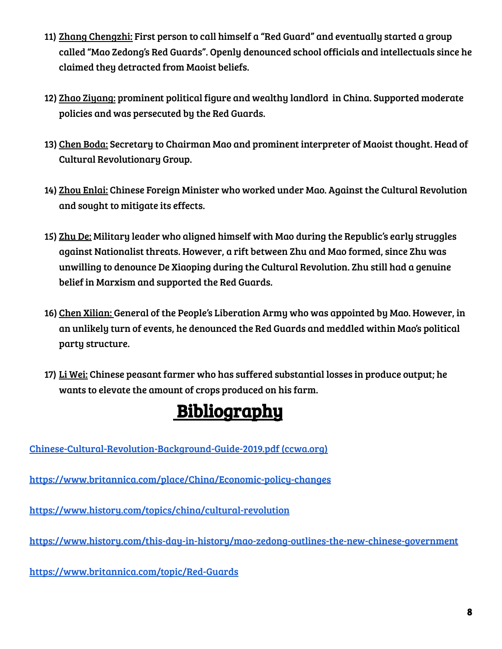- 11) Zhang Chengzhi: First person to call himself a "Red Guard" and eventually started a group called "Mao Zedong's Red Guards". Openly denounced school officials and intellectuals since he claimed they detracted from Maoist beliefs.
- 12) Zhao Ziyang: prominent political figure and wealthy landlord in China. Supported moderate policies and was persecuted by the Red Guards.
- 13) Chen Boda: Secretary to Chairman Mao and prominent interpreter of Maoist thought. Head of Cultural Revolutionary Group.
- 14) Zhou Enlai: Chinese Foreign Minister who worked under Mao. Against the Cultural Revolution and sought to mitigate its effects.
- 15) Zhu De: Military leader who aligned himself with Mao during the Republic's early struggles against Nationalist threats. However, a rift between Zhu and Mao formed, since Zhu was unwilling to denounce De Xiaoping during the Cultural Revolution. Zhu still had a genuine belief in Marxism and supported the Red Guards.
- 16) Chen Xilian: General of the People's Liberation Army who was appointed by Mao. However, in an unlikely turn of events, he denounced the Red Guards and meddled within Mao's political party structure.
- 17) Li Wei: Chinese peasant farmer who has suffered substantial losses in produce output; he wants to elevate the amount of crops produced on his farm.

# **Bibliography**

[Chinese-Cultural-Revolution-Background-Guide-2019.pdf](https://www.ccwa.org/wp-content/uploads/2019/01/Chinese-Cultural-Revolution-Background-Guide-2019.pdf) (ccwa.org)

<https://www.britannica.com/place/China/Economic-policy-changes>

<https://www.history.com/topics/china/cultural-revolution>

<https://www.history.com/this-day-in-history/mao-zedong-outlines-the-new-chinese-government>

<https://www.britannica.com/topic/Red-Guards>